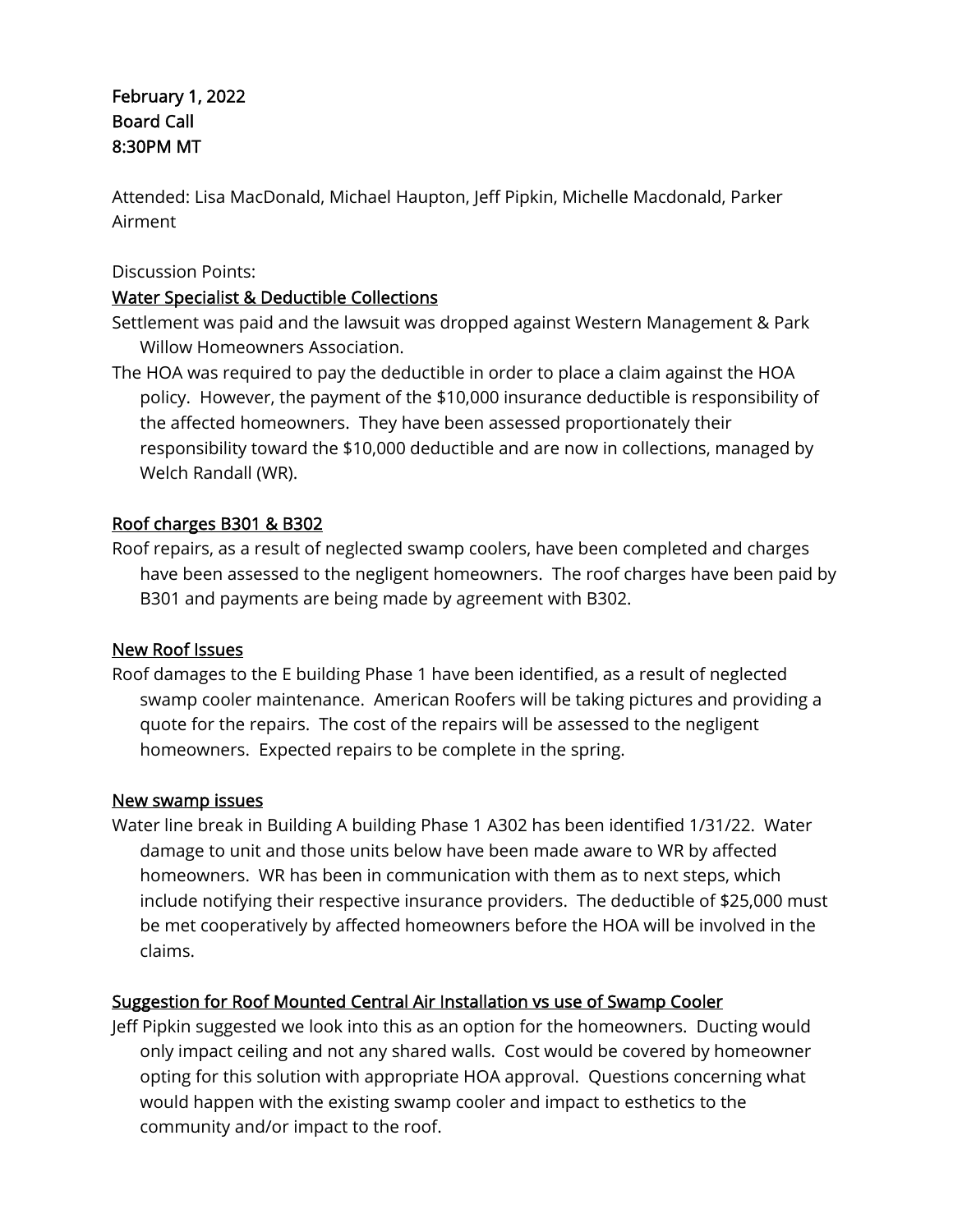# February 1, 2022 Board Call 8:30PM MT

Attended: Lisa MacDonald, Michael Haupton, Jeff Pipkin, Michelle Macdonald, Parker Airment

#### Discussion Points:

### Water Specialist & Deductible Collections

- Settlement was paid and the lawsuit was dropped against Western Management & Park Willow Homeowners Association.
- The HOA was required to pay the deductible in order to place a claim against the HOA policy. However, the payment of the \$10,000 insurance deductible is responsibility of the affected homeowners. They have been assessed proportionately their responsibility toward the \$10,000 deductible and are now in collections, managed by Welch Randall (WR).

# Roof charges B301 & B302

Roof repairs, as a result of neglected swamp coolers, have been completed and charges have been assessed to the negligent homeowners. The roof charges have been paid by B301 and payments are being made by agreement with B302.

# New Roof Issues

Roof damages to the E building Phase 1 have been identified, as a result of neglected swamp cooler maintenance. American Roofers will be taking pictures and providing a quote for the repairs. The cost of the repairs will be assessed to the negligent homeowners. Expected repairs to be complete in the spring.

#### New swamp issues

Water line break in Building A building Phase 1 A302 has been identified 1/31/22. Water damage to unit and those units below have been made aware to WR by affected homeowners. WR has been in communication with them as to next steps, which include notifying their respective insurance providers. The deductible of \$25,000 must be met cooperatively by affected homeowners before the HOA will be involved in the claims.

# Suggestion for Roof Mounted Central Air Installation vs use of Swamp Cooler

Jeff Pipkin suggested we look into this as an option for the homeowners. Ducting would only impact ceiling and not any shared walls. Cost would be covered by homeowner opting for this solution with appropriate HOA approval. Questions concerning what would happen with the existing swamp cooler and impact to esthetics to the community and/or impact to the roof.